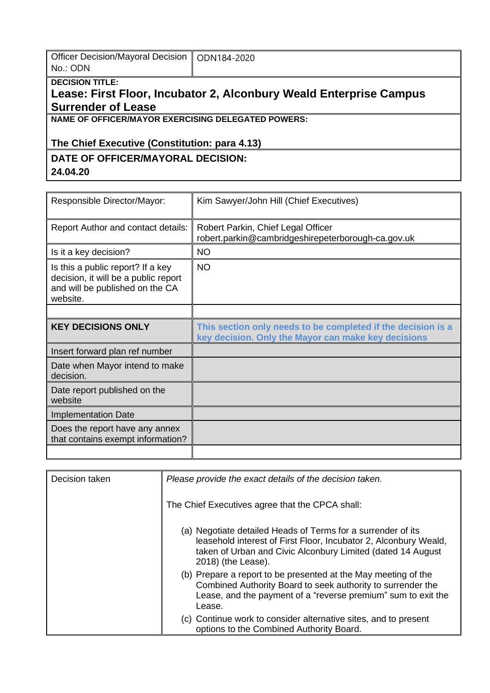| Officer Decision/Mayoral Decision   ODN184-2020 |  |
|-------------------------------------------------|--|
| No.: ODN                                        |  |

### **DECISION TITLE:**

# **Lease: First Floor, Incubator 2, Alconbury Weald Enterprise Campus Surrender of Lease**

### **NAME OF OFFICER/MAYOR EXERCISING DELEGATED POWERS:**

## **The Chief Executive (Constitution: para 4.13)**

#### **DATE OF OFFICER/MAYORAL DECISION: 24.04.20**

| Responsible Director/Mayor:                                                                                              | Kim Sawyer/John Hill (Chief Executives)                                                                             |
|--------------------------------------------------------------------------------------------------------------------------|---------------------------------------------------------------------------------------------------------------------|
| <b>Report Author and contact details:</b>                                                                                | Robert Parkin, Chief Legal Officer<br>robert.parkin@cambridgeshirepeterborough-ca.gov.uk                            |
| Is it a key decision?                                                                                                    | <b>NO</b>                                                                                                           |
| Is this a public report? If a key<br>decision, it will be a public report<br>and will be published on the CA<br>website. | <b>NO</b>                                                                                                           |
|                                                                                                                          |                                                                                                                     |
| <b>KEY DECISIONS ONLY</b>                                                                                                | This section only needs to be completed if the decision is a<br>key decision. Only the Mayor can make key decisions |
| Insert forward plan ref number                                                                                           |                                                                                                                     |
| Date when Mayor intend to make<br>decision.                                                                              |                                                                                                                     |
| Date report published on the<br>website                                                                                  |                                                                                                                     |
| <b>Implementation Date</b>                                                                                               |                                                                                                                     |
| Does the report have any annex<br>that contains exempt information?                                                      |                                                                                                                     |
|                                                                                                                          |                                                                                                                     |

| Decision taken | Please provide the exact details of the decision taken.                                                                                                                                                               |  |
|----------------|-----------------------------------------------------------------------------------------------------------------------------------------------------------------------------------------------------------------------|--|
|                | The Chief Executives agree that the CPCA shall:                                                                                                                                                                       |  |
|                | (a) Negotiate detailed Heads of Terms for a surrender of its<br>leasehold interest of First Floor, Incubator 2, Alconbury Weald,<br>taken of Urban and Civic Alconbury Limited (dated 14 August<br>2018) (the Lease). |  |
|                | (b) Prepare a report to be presented at the May meeting of the<br>Combined Authority Board to seek authority to surrender the<br>Lease, and the payment of a "reverse premium" sum to exit the<br>Lease.              |  |
|                | (c) Continue work to consider alternative sites, and to present<br>options to the Combined Authority Board.                                                                                                           |  |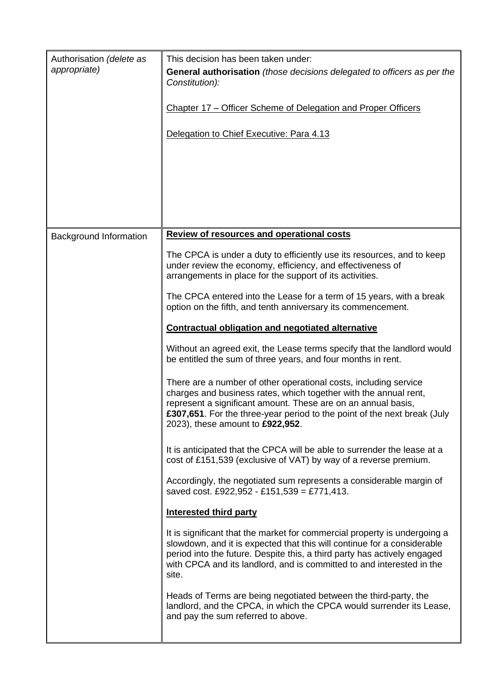| Authorisation (delete as<br>appropriate) | This decision has been taken under:<br><b>General authorisation</b> (those decisions delegated to officers as per the<br>Constitution):<br>Chapter 17 – Officer Scheme of Delegation and Proper Officers<br>Delegation to Chief Executive: Para 4.13                                                                                                                                                                                                                                                                                                                                                                                                                                                                                                                                                                                                                                                                                                                                                                                                                                                                                                                                                                                                                                                             |
|------------------------------------------|------------------------------------------------------------------------------------------------------------------------------------------------------------------------------------------------------------------------------------------------------------------------------------------------------------------------------------------------------------------------------------------------------------------------------------------------------------------------------------------------------------------------------------------------------------------------------------------------------------------------------------------------------------------------------------------------------------------------------------------------------------------------------------------------------------------------------------------------------------------------------------------------------------------------------------------------------------------------------------------------------------------------------------------------------------------------------------------------------------------------------------------------------------------------------------------------------------------------------------------------------------------------------------------------------------------|
| <b>Background Information</b>            | <b>Review of resources and operational costs</b><br>The CPCA is under a duty to efficiently use its resources, and to keep<br>under review the economy, efficiency, and effectiveness of<br>arrangements in place for the support of its activities.<br>The CPCA entered into the Lease for a term of 15 years, with a break<br>option on the fifth, and tenth anniversary its commencement.<br><b>Contractual obligation and negotiated alternative</b><br>Without an agreed exit, the Lease terms specify that the landlord would<br>be entitled the sum of three years, and four months in rent.<br>There are a number of other operational costs, including service<br>charges and business rates, which together with the annual rent,<br>represent a significant amount. These are on an annual basis,<br>£307,651. For the three-year period to the point of the next break (July<br>2023), these amount to £922,952.<br>It is anticipated that the CPCA will be able to surrender the lease at a<br>cost of £151,539 (exclusive of VAT) by way of a reverse premium.<br>Accordingly, the negotiated sum represents a considerable margin of<br>saved cost. £922,952 - £151,539 = £771,413.<br><b>Interested third party</b><br>It is significant that the market for commercial property is undergoing a |
|                                          | slowdown, and it is expected that this will continue for a considerable<br>period into the future. Despite this, a third party has actively engaged<br>with CPCA and its landlord, and is committed to and interested in the<br>site.<br>Heads of Terms are being negotiated between the third-party, the<br>landlord, and the CPCA, in which the CPCA would surrender its Lease,<br>and pay the sum referred to above.                                                                                                                                                                                                                                                                                                                                                                                                                                                                                                                                                                                                                                                                                                                                                                                                                                                                                          |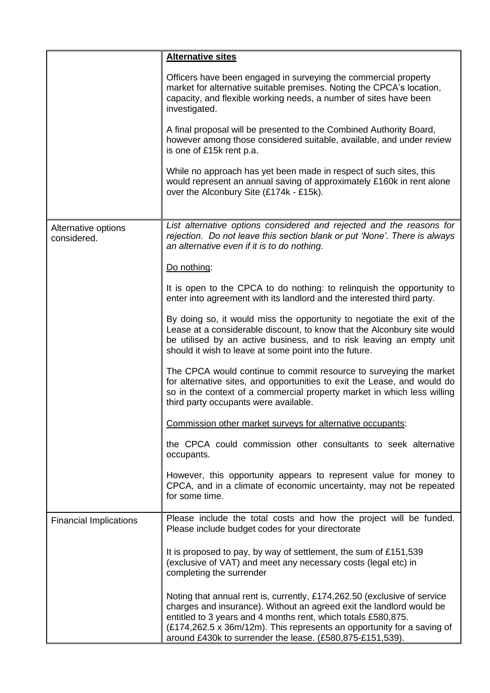|                                    | <b>Alternative sites</b>                                                                                                                                                                                                                                                                                                                                 |  |  |  |
|------------------------------------|----------------------------------------------------------------------------------------------------------------------------------------------------------------------------------------------------------------------------------------------------------------------------------------------------------------------------------------------------------|--|--|--|
|                                    | Officers have been engaged in surveying the commercial property<br>market for alternative suitable premises. Noting the CPCA's location,<br>capacity, and flexible working needs, a number of sites have been<br>investigated.                                                                                                                           |  |  |  |
|                                    | A final proposal will be presented to the Combined Authority Board,<br>however among those considered suitable, available, and under review<br>is one of £15k rent p.a.                                                                                                                                                                                  |  |  |  |
|                                    | While no approach has yet been made in respect of such sites, this<br>would represent an annual saving of approximately £160k in rent alone<br>over the Alconbury Site (£174k - £15k).                                                                                                                                                                   |  |  |  |
|                                    |                                                                                                                                                                                                                                                                                                                                                          |  |  |  |
| Alternative options<br>considered. | List alternative options considered and rejected and the reasons for<br>rejection. Do not leave this section blank or put 'None'. There is always<br>an alternative even if it is to do nothing.                                                                                                                                                         |  |  |  |
|                                    | Do nothing:                                                                                                                                                                                                                                                                                                                                              |  |  |  |
|                                    | It is open to the CPCA to do nothing: to relinguish the opportunity to<br>enter into agreement with its landlord and the interested third party.                                                                                                                                                                                                         |  |  |  |
|                                    | By doing so, it would miss the opportunity to negotiate the exit of the<br>Lease at a considerable discount, to know that the Alconbury site would<br>be utilised by an active business, and to risk leaving an empty unit<br>should it wish to leave at some point into the future.                                                                     |  |  |  |
|                                    | The CPCA would continue to commit resource to surveying the market<br>for alternative sites, and opportunities to exit the Lease, and would do<br>so in the context of a commercial property market in which less willing<br>third party occupants were available.                                                                                       |  |  |  |
|                                    | Commission other market surveys for alternative occupants:                                                                                                                                                                                                                                                                                               |  |  |  |
|                                    | the CPCA could commission other consultants to seek alternative<br>occupants.                                                                                                                                                                                                                                                                            |  |  |  |
|                                    | However, this opportunity appears to represent value for money to<br>CPCA, and in a climate of economic uncertainty, may not be repeated<br>for some time.                                                                                                                                                                                               |  |  |  |
| <b>Financial Implications</b>      | Please include the total costs and how the project will be funded.<br>Please include budget codes for your directorate                                                                                                                                                                                                                                   |  |  |  |
|                                    | It is proposed to pay, by way of settlement, the sum of £151,539<br>(exclusive of VAT) and meet any necessary costs (legal etc) in<br>completing the surrender                                                                                                                                                                                           |  |  |  |
|                                    | Noting that annual rent is, currently, £174,262.50 (exclusive of service<br>charges and insurance). Without an agreed exit the landlord would be<br>entitled to 3 years and 4 months rent, which totals £580,875.<br>(£174,262.5 x 36m/12m). This represents an opportunity for a saving of<br>around £430k to surrender the lease. (£580,875-£151,539). |  |  |  |